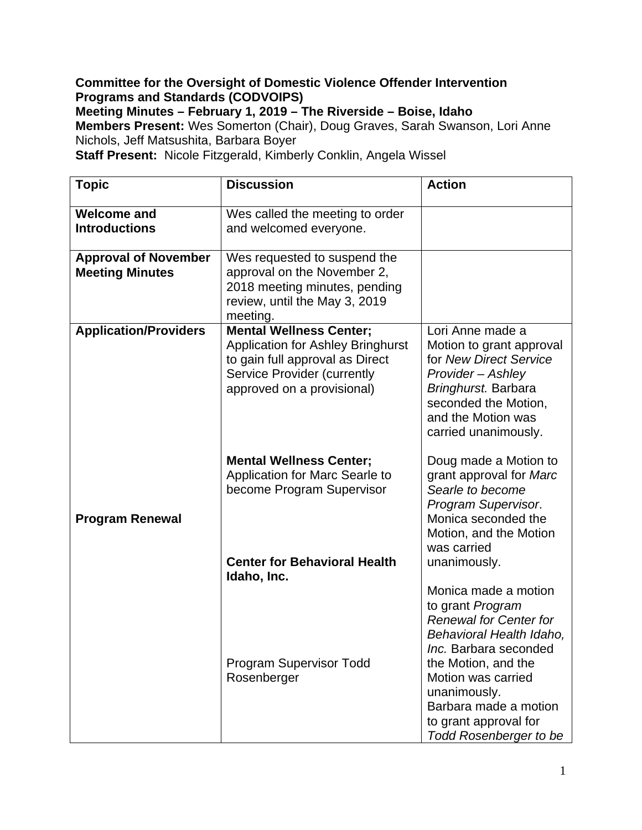## **Committee for the Oversight of Domestic Violence Offender Intervention Programs and Standards (CODVOIPS)**

**Meeting Minutes – February 1, 2019 – The Riverside – Boise, Idaho** 

**Members Present:** Wes Somerton (Chair), Doug Graves, Sarah Swanson, Lori Anne Nichols, Jeff Matsushita, Barbara Boyer

**Staff Present:** Nicole Fitzgerald, Kimberly Conklin, Angela Wissel

| <b>Topic</b>                                          | <b>Discussion</b>                                                                                                                                                                 | <b>Action</b>                                                                                                                                                                                                                                                                  |
|-------------------------------------------------------|-----------------------------------------------------------------------------------------------------------------------------------------------------------------------------------|--------------------------------------------------------------------------------------------------------------------------------------------------------------------------------------------------------------------------------------------------------------------------------|
| <b>Welcome and</b><br><b>Introductions</b>            | Wes called the meeting to order<br>and welcomed everyone.                                                                                                                         |                                                                                                                                                                                                                                                                                |
| <b>Approval of November</b><br><b>Meeting Minutes</b> | Wes requested to suspend the<br>approval on the November 2,<br>2018 meeting minutes, pending<br>review, until the May 3, 2019<br>meeting.                                         |                                                                                                                                                                                                                                                                                |
| <b>Application/Providers</b>                          | <b>Mental Wellness Center;</b><br><b>Application for Ashley Bringhurst</b><br>to gain full approval as Direct<br><b>Service Provider (currently</b><br>approved on a provisional) | Lori Anne made a<br>Motion to grant approval<br>for New Direct Service<br>Provider - Ashley<br>Bringhurst. Barbara<br>seconded the Motion,<br>and the Motion was<br>carried unanimously.                                                                                       |
| <b>Program Renewal</b>                                | <b>Mental Wellness Center;</b><br>Application for Marc Searle to<br>become Program Supervisor                                                                                     | Doug made a Motion to<br>grant approval for Marc<br>Searle to become<br>Program Supervisor.<br>Monica seconded the<br>Motion, and the Motion<br>was carried                                                                                                                    |
|                                                       | <b>Center for Behavioral Health</b><br>Idaho, Inc.                                                                                                                                | unanimously.                                                                                                                                                                                                                                                                   |
|                                                       | <b>Program Supervisor Todd</b><br>Rosenberger                                                                                                                                     | Monica made a motion<br>to grant Program<br><b>Renewal for Center for</b><br>Behavioral Health Idaho,<br>Inc. Barbara seconded<br>the Motion, and the<br>Motion was carried<br>unanimously.<br>Barbara made a motion<br>to grant approval for<br><b>Todd Rosenberger to be</b> |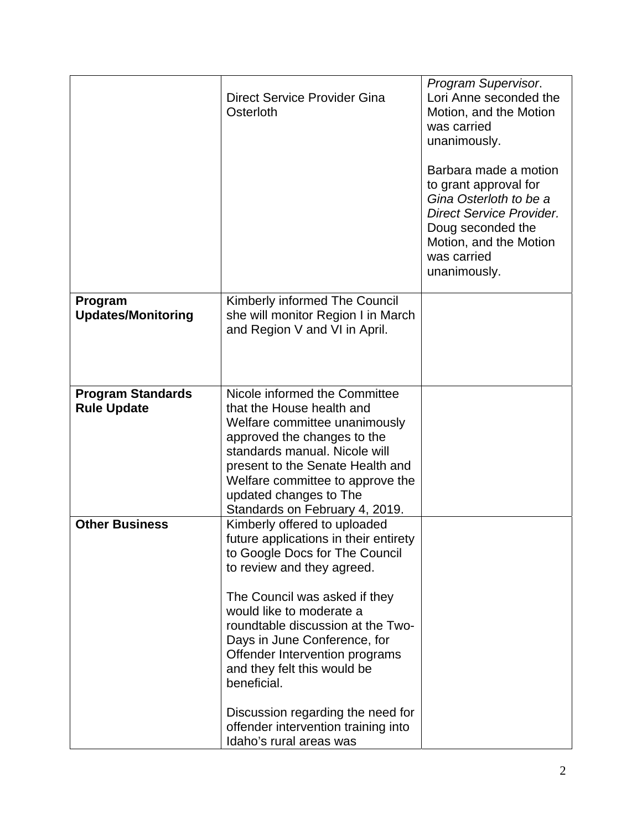|                                                | Direct Service Provider Gina<br>Osterloth                                                                                                                                                                                                                                                                                                                                                                                                                      | Program Supervisor.<br>Lori Anne seconded the<br>Motion, and the Motion<br>was carried<br>unanimously.<br>Barbara made a motion<br>to grant approval for<br>Gina Osterloth to be a<br><b>Direct Service Provider.</b><br>Doug seconded the<br>Motion, and the Motion<br>was carried<br>unanimously. |
|------------------------------------------------|----------------------------------------------------------------------------------------------------------------------------------------------------------------------------------------------------------------------------------------------------------------------------------------------------------------------------------------------------------------------------------------------------------------------------------------------------------------|-----------------------------------------------------------------------------------------------------------------------------------------------------------------------------------------------------------------------------------------------------------------------------------------------------|
| Program<br><b>Updates/Monitoring</b>           | Kimberly informed The Council<br>she will monitor Region I in March<br>and Region V and VI in April.                                                                                                                                                                                                                                                                                                                                                           |                                                                                                                                                                                                                                                                                                     |
| <b>Program Standards</b><br><b>Rule Update</b> | Nicole informed the Committee<br>that the House health and<br>Welfare committee unanimously<br>approved the changes to the<br>standards manual. Nicole will<br>present to the Senate Health and<br>Welfare committee to approve the<br>updated changes to The<br>Standards on February 4, 2019.                                                                                                                                                                |                                                                                                                                                                                                                                                                                                     |
| <b>Other Business</b>                          | Kimberly offered to uploaded<br>future applications in their entirety<br>to Google Docs for The Council<br>to review and they agreed.<br>The Council was asked if they<br>would like to moderate a<br>roundtable discussion at the Two-<br>Days in June Conference, for<br>Offender Intervention programs<br>and they felt this would be<br>beneficial.<br>Discussion regarding the need for<br>offender intervention training into<br>Idaho's rural areas was |                                                                                                                                                                                                                                                                                                     |